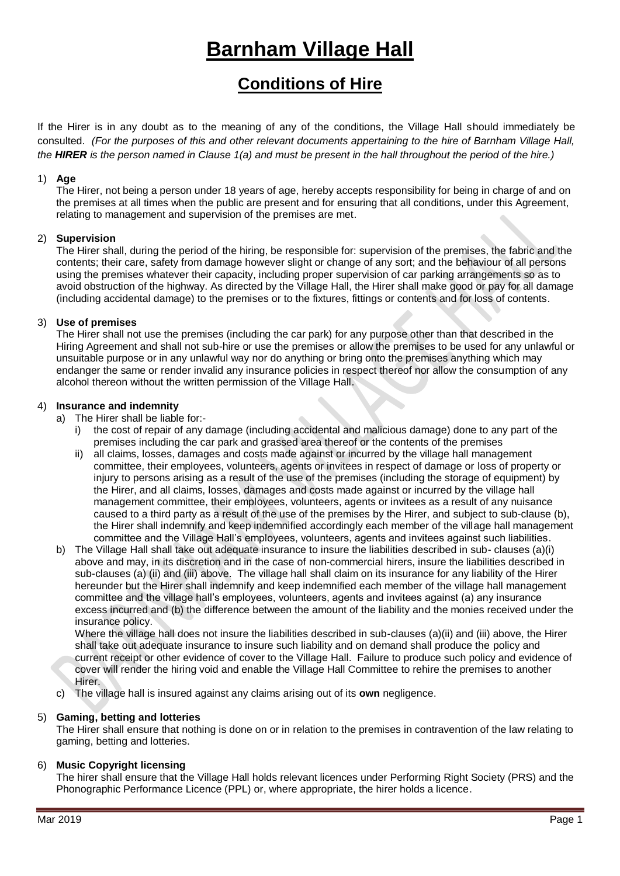# **Barnham Village Hall**

# **Conditions of Hire**

If the Hirer is in any doubt as to the meaning of any of the conditions, the Village Hall should immediately be consulted. *(For the purposes of this and other relevant documents appertaining to the hire of Barnham Village Hall, the HIRER is the person named in Clause 1(a) and must be present in the hall throughout the period of the hire.)*

# 1) **Age**

The Hirer, not being a person under 18 years of age, hereby accepts responsibility for being in charge of and on the premises at all times when the public are present and for ensuring that all conditions, under this Agreement, relating to management and supervision of the premises are met.

# 2) **Supervision**

The Hirer shall, during the period of the hiring, be responsible for: supervision of the premises, the fabric and the contents; their care, safety from damage however slight or change of any sort; and the behaviour of all persons using the premises whatever their capacity, including proper supervision of car parking arrangements so as to avoid obstruction of the highway. As directed by the Village Hall, the Hirer shall make good or pay for all damage (including accidental damage) to the premises or to the fixtures, fittings or contents and for loss of contents.

# 3) **Use of premises**

The Hirer shall not use the premises (including the car park) for any purpose other than that described in the Hiring Agreement and shall not sub-hire or use the premises or allow the premises to be used for any unlawful or unsuitable purpose or in any unlawful way nor do anything or bring onto the premises anything which may endanger the same or render invalid any insurance policies in respect thereof nor allow the consumption of any alcohol thereon without the written permission of the Village Hall.

# 4) **Insurance and indemnity**

- a) The Hirer shall be liable for:
	- i) the cost of repair of any damage (including accidental and malicious damage) done to any part of the premises including the car park and grassed area thereof or the contents of the premises

- ii) all claims, losses, damages and costs made against or incurred by the village hall management committee, their employees, volunteers, agents or invitees in respect of damage or loss of property or injury to persons arising as a result of the use of the premises (including the storage of equipment) by the Hirer, and all claims, losses, damages and costs made against or incurred by the village hall management committee, their employees, volunteers, agents or invitees as a result of any nuisance caused to a third party as a result of the use of the premises by the Hirer, and subject to sub-clause (b), the Hirer shall indemnify and keep indemnified accordingly each member of the village hall management committee and the Village Hall's employees, volunteers, agents and invitees against such liabilities.
- b) The Village Hall shall take out adequate insurance to insure the liabilities described in sub- clauses (a)(i) above and may, in its discretion and in the case of non-commercial hirers, insure the liabilities described in sub-clauses (a) (ii) and (iii) above. The village hall shall claim on its insurance for any liability of the Hirer hereunder but the Hirer shall indemnify and keep indemnified each member of the village hall management committee and the village hall's employees, volunteers, agents and invitees against (a) any insurance excess incurred and (b) the difference between the amount of the liability and the monies received under the insurance policy.

Where the village hall does not insure the liabilities described in sub-clauses (a)(ii) and (iii) above, the Hirer shall take out adequate insurance to insure such liability and on demand shall produce the policy and current receipt or other evidence of cover to the Village Hall. Failure to produce such policy and evidence of cover will render the hiring void and enable the Village Hall Committee to rehire the premises to another Hirer.

c) The village hall is insured against any claims arising out of its **own** negligence.

# 5) **Gaming, betting and lotteries**

The Hirer shall ensure that nothing is done on or in relation to the premises in contravention of the law relating to gaming, betting and lotteries.

# 6) **Music Copyright licensing**

The hirer shall ensure that the Village Hall holds relevant licences under Performing Right Society (PRS) and the Phonographic Performance Licence (PPL) or, where appropriate, the hirer holds a licence.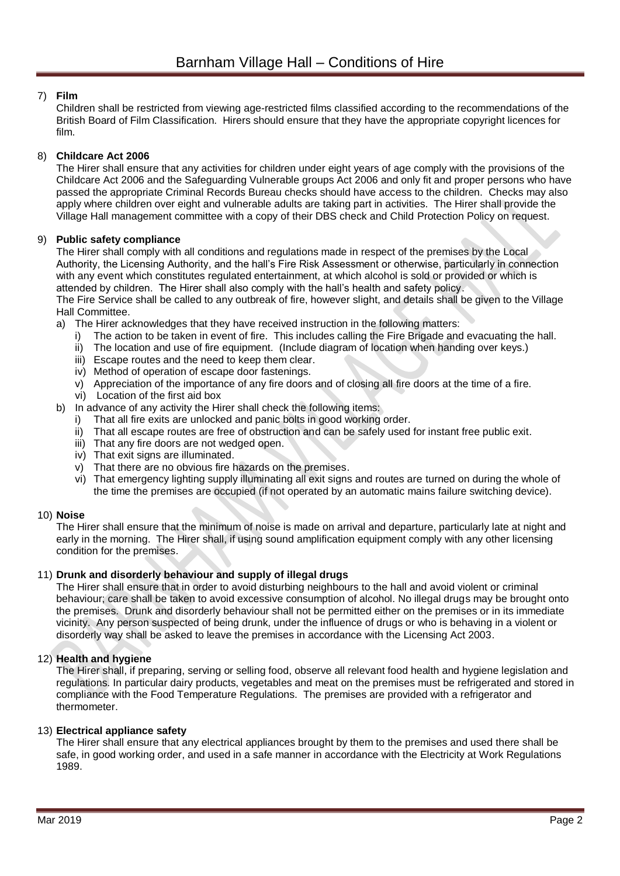# 7) **Film**

Children shall be restricted from viewing age-restricted films classified according to the recommendations of the British Board of Film Classification. Hirers should ensure that they have the appropriate copyright licences for film.

# 8) **Childcare Act 2006**

The Hirer shall ensure that any activities for children under eight years of age comply with the provisions of the Childcare Act 2006 and the Safeguarding Vulnerable groups Act 2006 and only fit and proper persons who have passed the appropriate Criminal Records Bureau checks should have access to the children. Checks may also apply where children over eight and vulnerable adults are taking part in activities. The Hirer shall provide the Village Hall management committee with a copy of their DBS check and Child Protection Policy on request.

# 9) **Public safety compliance**

The Hirer shall comply with all conditions and regulations made in respect of the premises by the Local Authority, the Licensing Authority, and the hall's Fire Risk Assessment or otherwise, particularly in connection with any event which constitutes regulated entertainment, at which alcohol is sold or provided or which is attended by children. The Hirer shall also comply with the hall's health and safety policy.

The Fire Service shall be called to any outbreak of fire, however slight, and details shall be given to the Village Hall Committee.

- a) The Hirer acknowledges that they have received instruction in the following matters:
	- i) The action to be taken in event of fire. This includes calling the Fire Brigade and evacuating the hall.
	- ii) The location and use of fire equipment. (Include diagram of location when handing over keys.)
	- iii) Escape routes and the need to keep them clear.
	- iv) Method of operation of escape door fastenings.
	- v) Appreciation of the importance of any fire doors and of closing all fire doors at the time of a fire.
	- vi) Location of the first aid box
- b) In advance of any activity the Hirer shall check the following items:
	- i) That all fire exits are unlocked and panic bolts in good working order.
	- That all escape routes are free of obstruction and can be safely used for instant free public exit. i) That all escape routes are free of obstruct<br>iii) That any fire doors are not wedged open.
	-
	- iv) That exit signs are illuminated.
	- v) That there are no obvious fire hazards on the premises.
	- vi) That emergency lighting supply illuminating all exit signs and routes are turned on during the whole of the time the premises are occupied (if not operated by an automatic mains failure switching device).

# 10) **Noise**

The Hirer shall ensure that the minimum of noise is made on arrival and departure, particularly late at night and early in the morning. The Hirer shall, if using sound amplification equipment comply with any other licensing condition for the premises.

# 11) **Drunk and disorderly behaviour and supply of illegal drugs**

The Hirer shall ensure that in order to avoid disturbing neighbours to the hall and avoid violent or criminal behaviour; care shall be taken to avoid excessive consumption of alcohol. No illegal drugs may be brought onto the premises. Drunk and disorderly behaviour shall not be permitted either on the premises or in its immediate vicinity. Any person suspected of being drunk, under the influence of drugs or who is behaving in a violent or disorderly way shall be asked to leave the premises in accordance with the Licensing Act 2003.

# 12) **Health and hygiene**

The Hirer shall, if preparing, serving or selling food, observe all relevant food health and hygiene legislation and regulations. In particular dairy products, vegetables and meat on the premises must be refrigerated and stored in compliance with the Food Temperature Regulations. The premises are provided with a refrigerator and thermometer.

# 13) **Electrical appliance safety**

The Hirer shall ensure that any electrical appliances brought by them to the premises and used there shall be safe, in good working order, and used in a safe manner in accordance with the Electricity at Work Regulations 1989.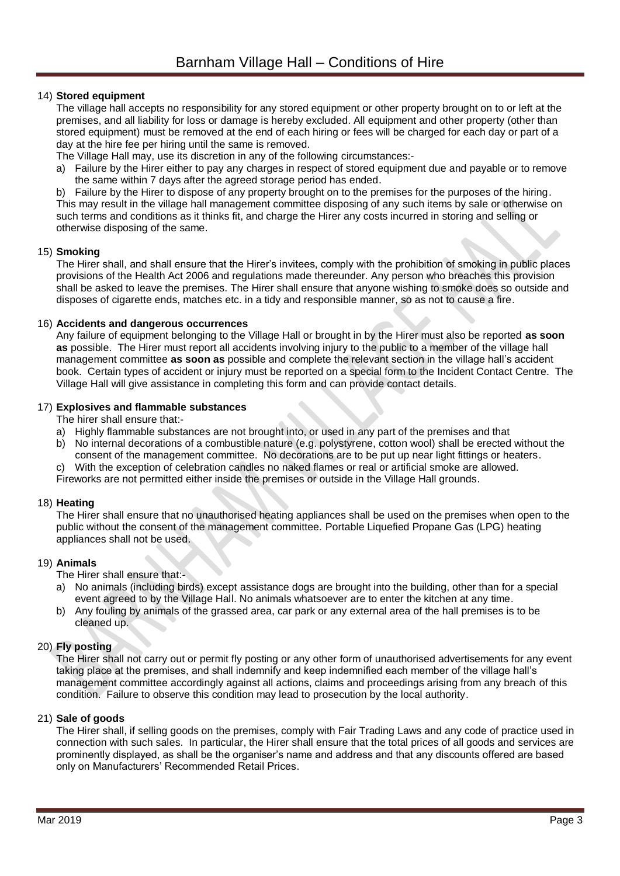# 14) **Stored equipment**

The village hall accepts no responsibility for any stored equipment or other property brought on to or left at the premises, and all liability for loss or damage is hereby excluded. All equipment and other property (other than stored equipment) must be removed at the end of each hiring or fees will be charged for each day or part of a day at the hire fee per hiring until the same is removed.

The Village Hall may, use its discretion in any of the following circumstances:-

a) Failure by the Hirer either to pay any charges in respect of stored equipment due and payable or to remove the same within 7 days after the agreed storage period has ended.

b) Failure by the Hirer to dispose of any property brought on to the premises for the purposes of the hiring. This may result in the village hall management committee disposing of any such items by sale or otherwise on such terms and conditions as it thinks fit, and charge the Hirer any costs incurred in storing and selling or otherwise disposing of the same.

#### 15) **Smoking**

The Hirer shall, and shall ensure that the Hirer's invitees, comply with the prohibition of smoking in public places provisions of the Health Act 2006 and regulations made thereunder. Any person who breaches this provision shall be asked to leave the premises. The Hirer shall ensure that anyone wishing to smoke does so outside and disposes of cigarette ends, matches etc. in a tidy and responsible manner, so as not to cause a fire.

#### 16) **Accidents and dangerous occurrences**

Any failure of equipment belonging to the Village Hall or brought in by the Hirer must also be reported **as soon as** possible. The Hirer must report all accidents involving injury to the public to a member of the village hall management committee **as soon as** possible and complete the relevant section in the village hall's accident book. Certain types of accident or injury must be reported on a special form to the Incident Contact Centre. The Village Hall will give assistance in completing this form and can provide contact details.

#### 17) **Explosives and flammable substances**

The hirer shall ensure that:-

- a) Highly flammable substances are not brought into, or used in any part of the premises and that
- b) No internal decorations of a combustible nature (e.g. polystyrene, cotton wool) shall be erected without the consent of the management committee. No decorations are to be put up near light fittings or heaters.
- c) With the exception of celebration candles no naked flames or real or artificial smoke are allowed. Fireworks are not permitted either inside the premises or outside in the Village Hall grounds.

# 18) **Heating**

The Hirer shall ensure that no unauthorised heating appliances shall be used on the premises when open to the public without the consent of the management committee. Portable Liquefied Propane Gas (LPG) heating appliances shall not be used.

# 19) **Animals**

The Hirer shall ensure that:-

- a) No animals (including birds) except assistance dogs are brought into the building, other than for a special event agreed to by the Village Hall. No animals whatsoever are to enter the kitchen at any time.
- b) Any fouling by animals of the grassed area, car park or any external area of the hall premises is to be cleaned up.

# 20) **Fly posting**

The Hirer shall not carry out or permit fly posting or any other form of unauthorised advertisements for any event taking place at the premises, and shall indemnify and keep indemnified each member of the village hall's management committee accordingly against all actions, claims and proceedings arising from any breach of this condition. Failure to observe this condition may lead to prosecution by the local authority.

# 21) **Sale of goods**

The Hirer shall, if selling goods on the premises, comply with Fair Trading Laws and any code of practice used in connection with such sales. In particular, the Hirer shall ensure that the total prices of all goods and services are prominently displayed, as shall be the organiser's name and address and that any discounts offered are based only on Manufacturers' Recommended Retail Prices.